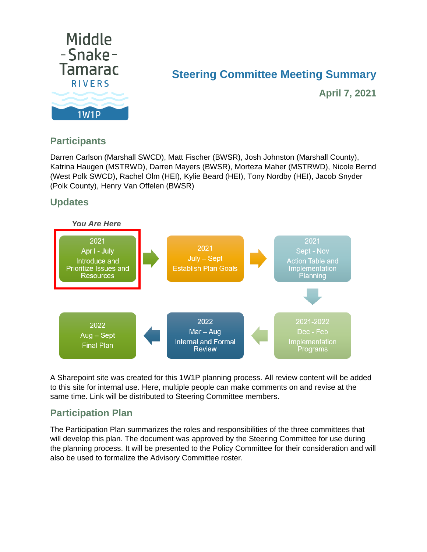

#### **Steering Committee Meeting Summary**

**April 7, 2021**

#### **Participants**

Darren Carlson (Marshall SWCD), Matt Fischer (BWSR), Josh Johnston (Marshall County), Katrina Haugen (MSTRWD), Darren Mayers (BWSR), Morteza Maher (MSTRWD), Nicole Bernd (West Polk SWCD), Rachel Olm (HEI), Kylie Beard (HEI), Tony Nordby (HEI), Jacob Snyder (Polk County), Henry Van Offelen (BWSR)

#### **Updates**



A Sharepoint site was created for this 1W1P planning process. All review content will be added to this site for internal use. Here, multiple people can make comments on and revise at the same time. Link will be distributed to Steering Committee members.

#### **Participation Plan**

The Participation Plan summarizes the roles and responsibilities of the three committees that will develop this plan. The document was approved by the Steering Committee for use during the planning process. It will be presented to the Policy Committee for their consideration and will also be used to formalize the Advisory Committee roster.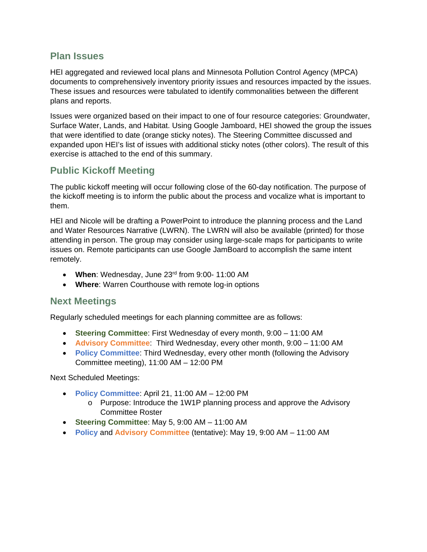#### **Plan Issues**

HEI aggregated and reviewed local plans and Minnesota Pollution Control Agency (MPCA) documents to comprehensively inventory priority issues and resources impacted by the issues. These issues and resources were tabulated to identify commonalities between the different plans and reports.

Issues were organized based on their impact to one of four resource categories: Groundwater, Surface Water, Lands, and Habitat. Using Google Jamboard, HEI showed the group the issues that were identified to date (orange sticky notes). The Steering Committee discussed and expanded upon HEI's list of issues with additional sticky notes (other colors). The result of this exercise is attached to the end of this summary.

#### **Public Kickoff Meeting**

The public kickoff meeting will occur following close of the 60-day notification. The purpose of the kickoff meeting is to inform the public about the process and vocalize what is important to them.

HEI and Nicole will be drafting a PowerPoint to introduce the planning process and the Land and Water Resources Narrative (LWRN). The LWRN will also be available (printed) for those attending in person. The group may consider using large-scale maps for participants to write issues on. Remote participants can use Google JamBoard to accomplish the same intent remotely.

- **When**: Wednesday, June 23rd from 9:00- 11:00 AM
- **Where**: Warren Courthouse with remote log-in options

#### **Next Meetings**

Regularly scheduled meetings for each planning committee are as follows:

- **Steering Committee**: First Wednesday of every month, 9:00 11:00 AM
- **Advisory Committee**: Third Wednesday, every other month, 9:00 11:00 AM
- **Policy Committee**: Third Wednesday, every other month (following the Advisory Committee meeting), 11:00 AM – 12:00 PM

Next Scheduled Meetings:

- **Policy Committee**: April 21, 11:00 AM 12:00 PM
	- o Purpose: Introduce the 1W1P planning process and approve the Advisory Committee Roster
- **Steering Committee**: May 5, 9:00 AM 11:00 AM
- **Policy** and **Advisory Committee** (tentative): May 19, 9:00 AM 11:00 AM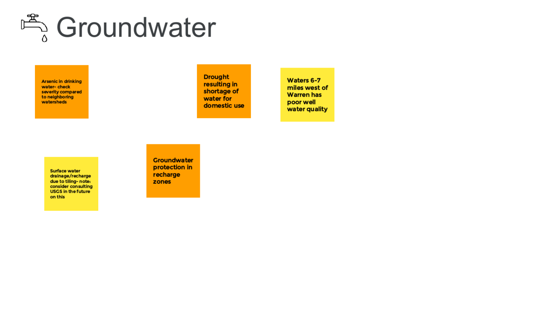# 鸣 Groundwater

**Arsenic in drinking** water-check severity compared to neighboring watersheds

**Drought** resulting in shortage of water for domestic use

Waters 6-7 miles west of **Warren has** poor well water quality

**Surface water** drainage/recharge due to tiling- note: consider consulting USGS in the future on this

**Groundwater** protection in recharge zones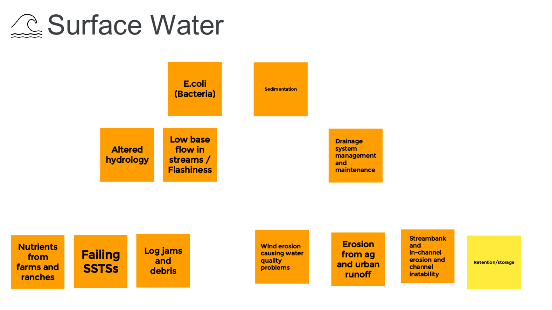### **Surface Water**



management

**Erosion** from ag and urban runoff

**Streambank** and in-channel erosion and channel instability

**Retention/storage**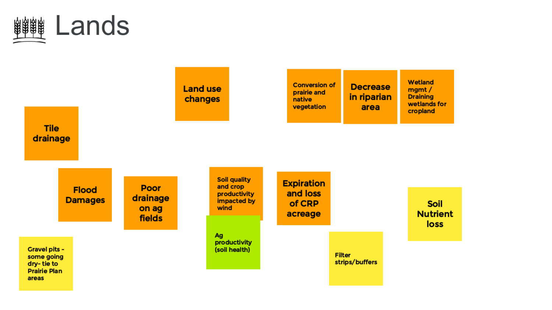

### **Decrease** in riparian area

Wetland mgmt/ **Draining** wetlands for cropland

> **Soil Nutrient** loss

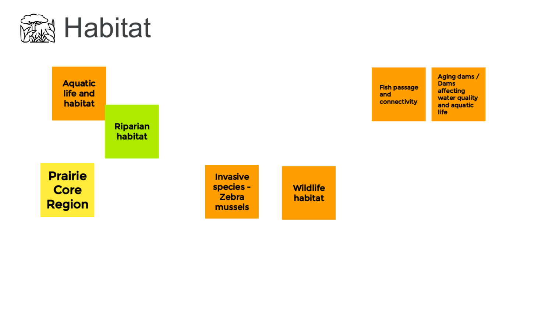



**Fish passage** and connectivity

Aging dams / Dams affecting water quality and aquatic life